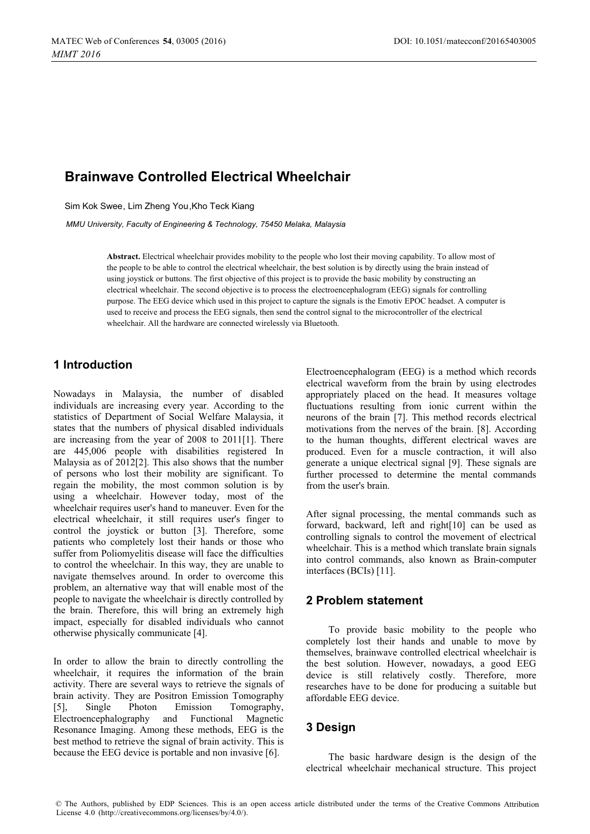# **Brainwave Controlled Electrical Wheelchair**

Sim Kok Swee, Lim Zheng You,Kho Teck Kiang

*MMU University, Faculty of Engineering & Technology, 75450 Melaka, Malaysia* 

**Abstract.** Electrical wheelchair provides mobility to the people who lost their moving capability. To allow most of the people to be able to control the electrical wheelchair, the best solution is by directly using the brain instead of using joystick or buttons. The first objective of this project is to provide the basic mobility by constructing an electrical wheelchair. The second objective is to process the electroencephalogram (EEG) signals for controlling purpose. The EEG device which used in this project to capture the signals is the Emotiv EPOC headset. A computer is used to receive and process the EEG signals, then send the control signal to the microcontroller of the electrical wheelchair. All the hardware are connected wirelessly via Bluetooth.

# **1 Introduction**

Nowadays in Malaysia, the number of disabled individuals are increasing every year. According to the statistics of Department of Social Welfare Malaysia, it states that the numbers of physical disabled individuals are increasing from the year of 2008 to 2011[1]. There are 445,006 people with disabilities registered In Malaysia as of 2012[2]. This also shows that the number of persons who lost their mobility are significant. To regain the mobility, the most common solution is by using a wheelchair. However today, most of the wheelchair requires user's hand to maneuver. Even for the electrical wheelchair, it still requires user's finger to control the joystick or button [3]. Therefore, some patients who completely lost their hands or those who suffer from Poliomyelitis disease will face the difficulties to control the wheelchair. In this way, they are unable to navigate themselves around. In order to overcome this problem, an alternative way that will enable most of the people to navigate the wheelchair is directly controlled by the brain. Therefore, this will bring an extremely high impact, especially for disabled individuals who cannot otherwise physically communicate [4].

In order to allow the brain to directly controlling the wheelchair, it requires the information of the brain activity. There are several ways to retrieve the signals of brain activity. They are Positron Emission Tomography [5], Single Photon Emission Tomography, Electroencephalography and Functional Magnetic Resonance Imaging. Among these methods, EEG is the best method to retrieve the signal of brain activity. This is because the EEG device is portable and non invasive [6].

Electroencephalogram (EEG) is a method which records electrical waveform from the brain by using electrodes appropriately placed on the head. It measures voltage fluctuations resulting from ionic current within the neurons of the brain [7]. This method records electrical motivations from the nerves of the brain. [8]. According to the human thoughts, different electrical waves are produced. Even for a muscle contraction, it will also generate a unique electrical signal [9]. These signals are further processed to determine the mental commands from the user's brain.

After signal processing, the mental commands such as forward, backward, left and right[10] can be used as controlling signals to control the movement of electrical wheelchair. This is a method which translate brain signals into control commands, also known as Brain-computer interfaces (BCIs) [11].

## **2 Problem statement**

To provide basic mobility to the people who completely lost their hands and unable to move by themselves, brainwave controlled electrical wheelchair is the best solution. However, nowadays, a good EEG device is still relatively costly. Therefore, more researches have to be done for producing a suitable but affordable EEG device.

# **3 Design**

The basic hardware design is the design of the electrical wheelchair mechanical structure. This project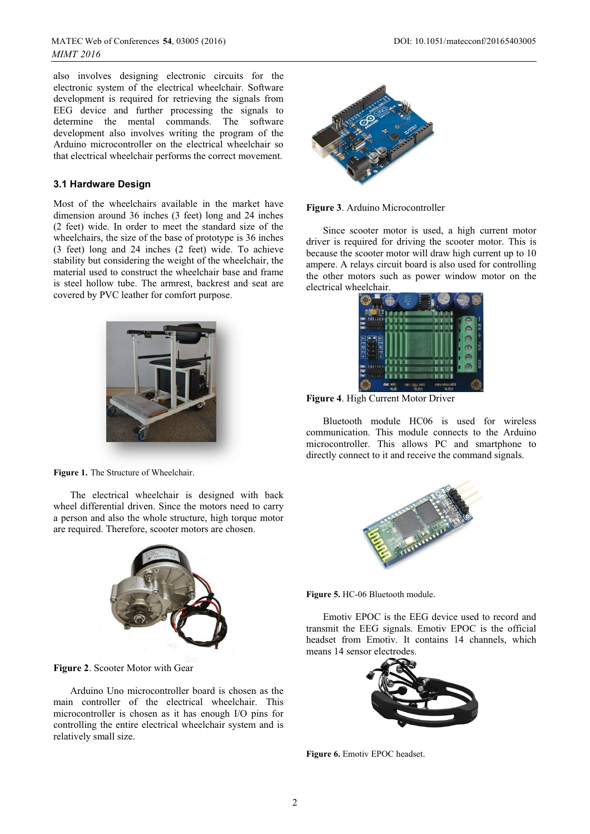also involves designing electronic circuits for the electronic system of the electrical wheelchair. Software development is required for retrieving the signals from EEG device and further processing the signals to determine the mental commands. The software development also involves writing the program of the Arduino microcontroller on the electrical wheelchair so that electrical wheelchair performs the correct movement.

#### **3.1 Hardware Design**

Most of the wheelchairs available in the market have dimension around 36 inches (3 feet) long and 24 inches (2 feet) wide. In order to meet the standard size of the wheelchairs, the size of the base of prototype is 36 inches (3 feet) long and 24 inches (2 feet) wide. To achieve stability but considering the weight of the wheelchair, the material used to construct the wheelchair base and frame is steel hollow tube. The armrest, backrest and seat are covered by PVC leather for comfort purpose.



**Figure 1.** The Structure of Wheelchair.

 The electrical wheelchair is designed with back wheel differential driven. Since the motors need to carry a person and also the whole structure, high torque motor are required. Therefore, scooter motors are chosen.



**Figure 2**. Scooter Motor with Gear

 Arduino Uno microcontroller board is chosen as the main controller of the electrical wheelchair. This microcontroller is chosen as it has enough I/O pins for controlling the entire electrical wheelchair system and is relatively small size.



**Figure 3**. Arduino Microcontroller

 Since scooter motor is used, a high current motor driver is required for driving the scooter motor. This is because the scooter motor will draw high current up to 10 ampere. A relays circuit board is also used for controlling the other motors such as power window motor on the electrical wheelchair.



**Figure 4**. High Current Motor Driver

 Bluetooth module HC06 is used for wireless communication. This module connects to the Arduino microcontroller. This allows PC and smartphone to directly connect to it and receive the command signals.



**Figure 5.** HC-06 Bluetooth module.

 Emotiv EPOC is the EEG device used to record and transmit the EEG signals. Emotiv EPOC is the official headset from Emotiv. It contains 14 channels, which means 14 sensor electrodes.



**Figure 6.** Emotiv EPOC headset.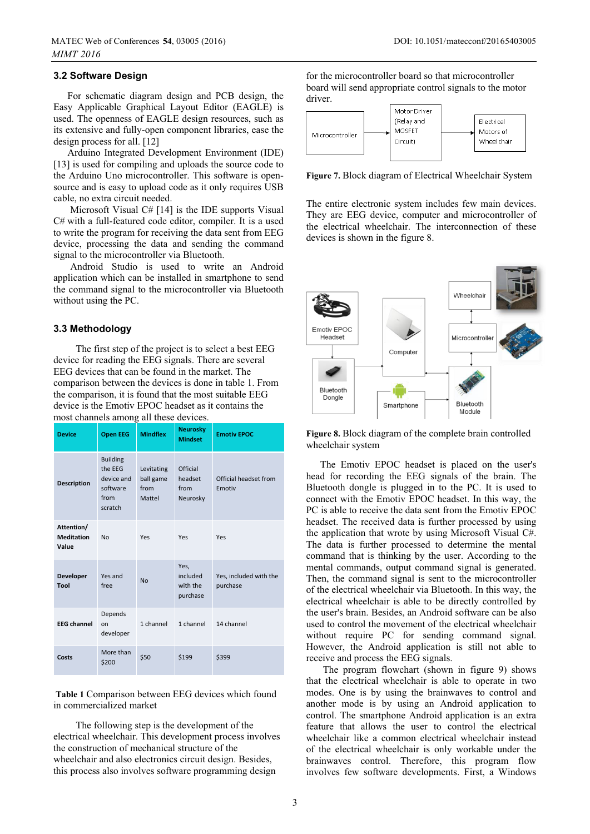#### **3.2 Software Design**

 For schematic diagram design and PCB design, the Easy Applicable Graphical Layout Editor (EAGLE) is used. The openness of EAGLE design resources, such as its extensive and fully-open component libraries, ease the design process for all. [12]

Arduino Integrated Development Environment (IDE) [13] is used for compiling and uploads the source code to the Arduino Uno microcontroller. This software is opensource and is easy to upload code as it only requires USB cable, no extra circuit needed.

 Microsoft Visual C# [14] is the IDE supports Visual C# with a full-featured code editor, compiler. It is a used to write the program for receiving the data sent from EEG device, processing the data and sending the command signal to the microcontroller via Bluetooth.

 Android Studio is used to write an Android application which can be installed in smartphone to send the command signal to the microcontroller via Bluetooth without using the PC.

#### **3.3 Methodology**

 The first step of the project is to select a best EEG device for reading the EEG signals. There are several EEG devices that can be found in the market. The comparison between the devices is done in table 1. From the comparison, it is found that the most suitable EEG device is the Emotiv EPOC headset as it contains the most channels among all these devices.

| <b>Device</b>                            | <b>Open EEG</b>                                                         | <b>Mindflex</b>                           | <b>Neurosky</b><br><b>Mindset</b>        | <b>Emotiv EPOC</b>                 |
|------------------------------------------|-------------------------------------------------------------------------|-------------------------------------------|------------------------------------------|------------------------------------|
| <b>Description</b>                       | <b>Building</b><br>the EEG<br>device and<br>software<br>from<br>scratch | Levitating<br>ball game<br>from<br>Mattel | Official<br>headset<br>from<br>Neurosky  | Official headset from<br>Emotiv    |
| Attention/<br><b>Meditation</b><br>Value | <b>No</b>                                                               | Yes                                       | Yes                                      | Yes                                |
| <b>Developer</b><br>Tool                 | Yes and<br>free                                                         | <b>No</b>                                 | Yes,<br>included<br>with the<br>purchase | Yes, included with the<br>purchase |
| <b>EEG</b> channel                       | Depends<br>on<br>developer                                              | 1 channel                                 | 1 channel                                | 14 channel                         |
| Costs                                    | More than<br>\$200                                                      | \$50                                      | \$199                                    | \$399                              |

 **Table 1** Comparison between EEG devices which found in commercialized market

 The following step is the development of the electrical wheelchair. This development process involves the construction of mechanical structure of the wheelchair and also electronics circuit design. Besides, this process also involves software programming design

for the microcontroller board so that microcontroller board will send appropriate control signals to the motor driver.



**Figure 7.** Block diagram of Electrical Wheelchair System

The entire electronic system includes few main devices. They are EEG device, computer and microcontroller of the electrical wheelchair. The interconnection of these devices is shown in the figure 8.



**Figure 8.** Block diagram of the complete brain controlled wheelchair system

The Emotiv EPOC headset is placed on the user's head for recording the EEG signals of the brain. The Bluetooth dongle is plugged in to the PC. It is used to connect with the Emotiv EPOC headset. In this way, the PC is able to receive the data sent from the Emotiv EPOC headset. The received data is further processed by using the application that wrote by using Microsoft Visual C#. The data is further processed to determine the mental command that is thinking by the user. According to the mental commands, output command signal is generated. Then, the command signal is sent to the microcontroller of the electrical wheelchair via Bluetooth. In this way, the electrical wheelchair is able to be directly controlled by the user's brain. Besides, an Android software can be also used to control the movement of the electrical wheelchair without require PC for sending command signal. However, the Android application is still not able to receive and process the EEG signals.

 The program flowchart (shown in figure 9) shows that the electrical wheelchair is able to operate in two modes. One is by using the brainwaves to control and another mode is by using an Android application to control. The smartphone Android application is an extra feature that allows the user to control the electrical wheelchair like a common electrical wheelchair instead of the electrical wheelchair is only workable under the brainwaves control. Therefore, this program flow involves few software developments. First, a Windows